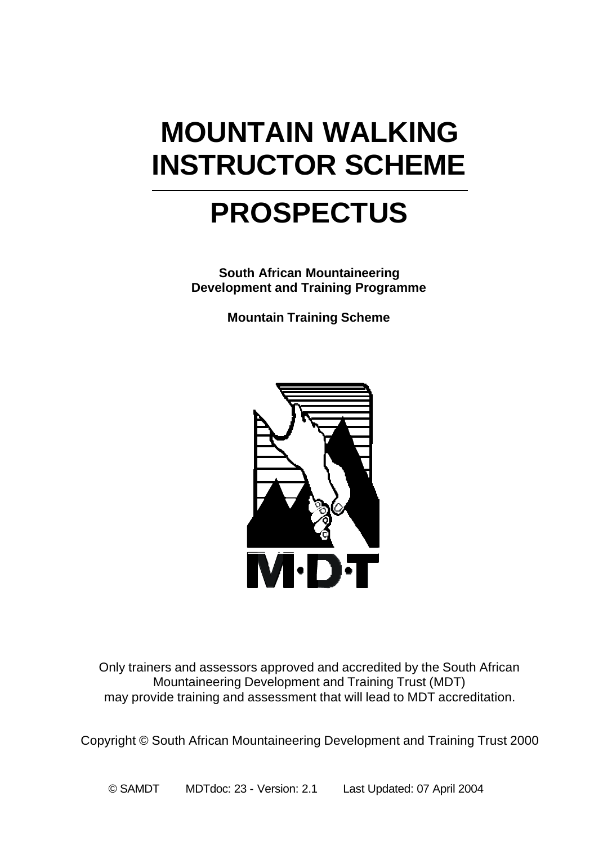# **MOUNTAIN WALKING INSTRUCTOR SCHEME**

# **PROSPECTUS**

**South African Mountaineering Development and Training Programme**

**Mountain Training Scheme**



Only trainers and assessors approved and accredited by the South African Mountaineering Development and Training Trust (MDT) may provide training and assessment that will lead to MDT accreditation.

Copyright © South African Mountaineering Development and Training Trust 2000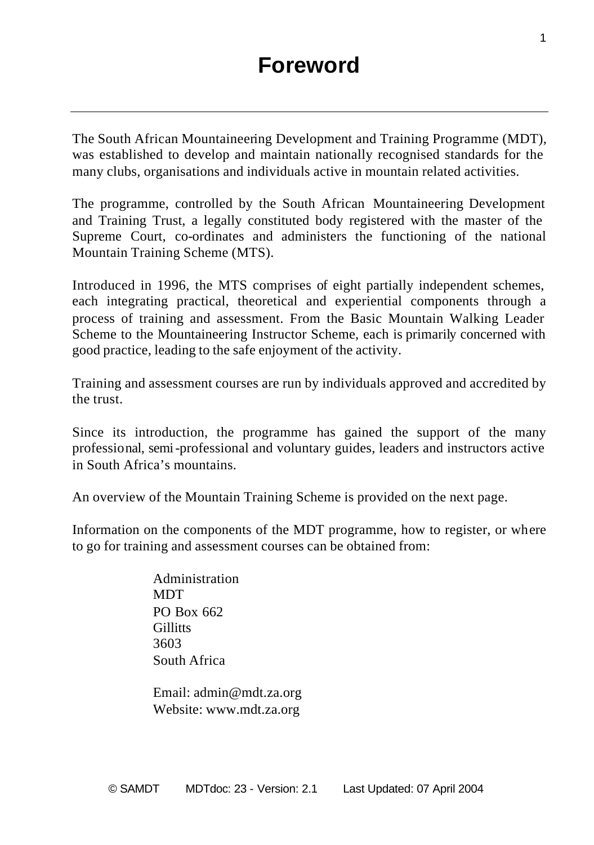The South African Mountaineering Development and Training Programme (MDT), was established to develop and maintain nationally recognised standards for the many clubs, organisations and individuals active in mountain related activities.

The programme, controlled by the South African Mountaineering Development and Training Trust, a legally constituted body registered with the master of the Supreme Court, co-ordinates and administers the functioning of the national Mountain Training Scheme (MTS).

Introduced in 1996, the MTS comprises of eight partially independent schemes, each integrating practical, theoretical and experiential components through a process of training and assessment. From the Basic Mountain Walking Leader Scheme to the Mountaineering Instructor Scheme, each is primarily concerned with good practice, leading to the safe enjoyment of the activity.

Training and assessment courses are run by individuals approved and accredited by the trust.

Since its introduction, the programme has gained the support of the many professional, semi-professional and voluntary guides, leaders and instructors active in South Africa's mountains.

An overview of the Mountain Training Scheme is provided on the next page.

Information on the components of the MDT programme, how to register, or where to go for training and assessment courses can be obtained from:

> Administration **MDT** PO Box 662 **Gillitts** 3603 South Africa

Email: admin@mdt.za.org Website: www.mdt.za.org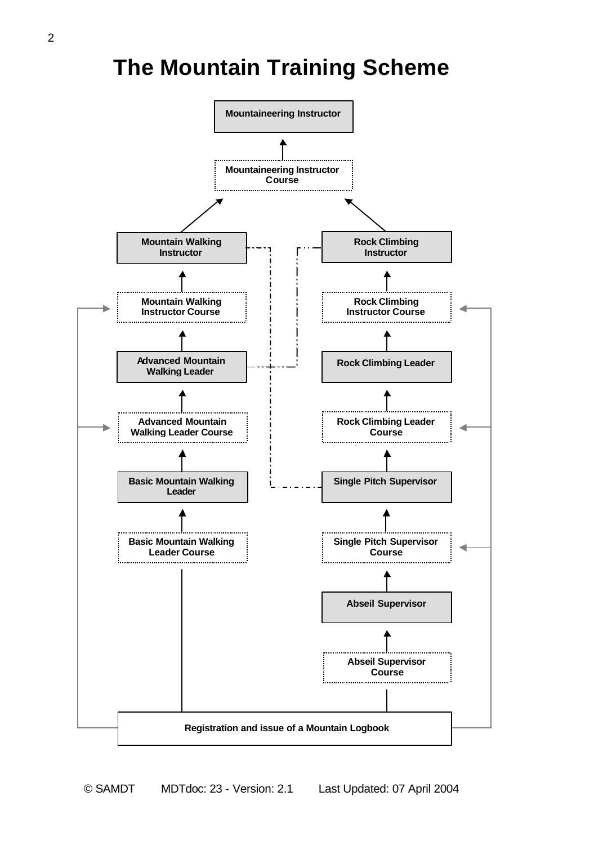## **The Mountain Training Scheme**

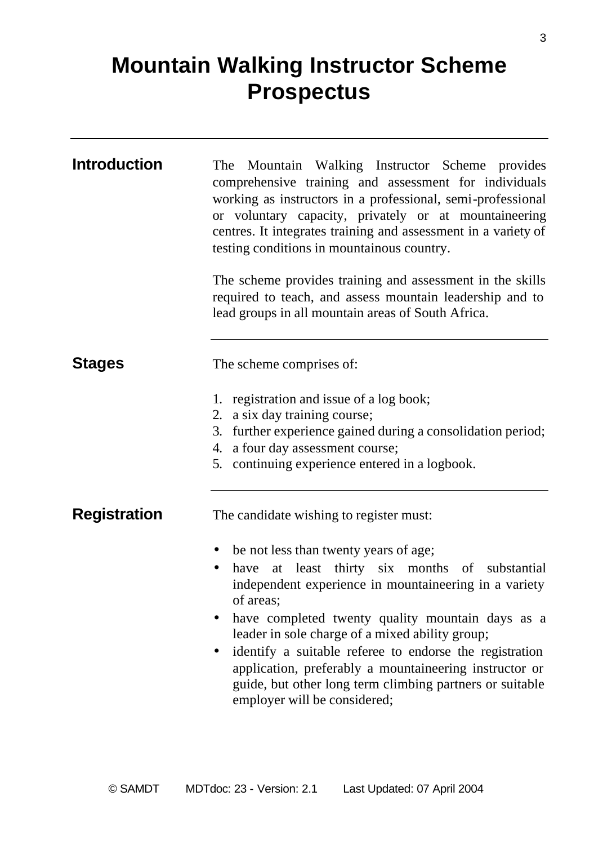## **Mountain Walking Instructor Scheme Prospectus**

| The Mountain Walking Instructor Scheme provides<br>comprehensive training and assessment for individuals<br>working as instructors in a professional, semi-professional<br>or voluntary capacity, privately or at mountaineering<br>centres. It integrates training and assessment in a variety of<br>testing conditions in mountainous country.<br>The scheme provides training and assessment in the skills<br>required to teach, and assess mountain leadership and to<br>lead groups in all mountain areas of South Africa. |
|---------------------------------------------------------------------------------------------------------------------------------------------------------------------------------------------------------------------------------------------------------------------------------------------------------------------------------------------------------------------------------------------------------------------------------------------------------------------------------------------------------------------------------|
| The scheme comprises of:                                                                                                                                                                                                                                                                                                                                                                                                                                                                                                        |
| 1. registration and issue of a log book;<br>2. a six day training course;<br>3. further experience gained during a consolidation period;<br>4. a four day assessment course;<br>5. continuing experience entered in a logbook.                                                                                                                                                                                                                                                                                                  |
| The candidate wishing to register must:                                                                                                                                                                                                                                                                                                                                                                                                                                                                                         |
| be not less than twenty years of age;<br>٠<br>have at least thirty six months of substantial<br>independent experience in mountaineering in a variety<br>of areas;<br>have completed twenty quality mountain days as a<br>$\bullet$<br>leader in sole charge of a mixed ability group;<br>identify a suitable referee to endorse the registration<br>application, preferably a mountaineering instructor or<br>guide, but other long term climbing partners or suitable<br>employer will be considered;                         |
|                                                                                                                                                                                                                                                                                                                                                                                                                                                                                                                                 |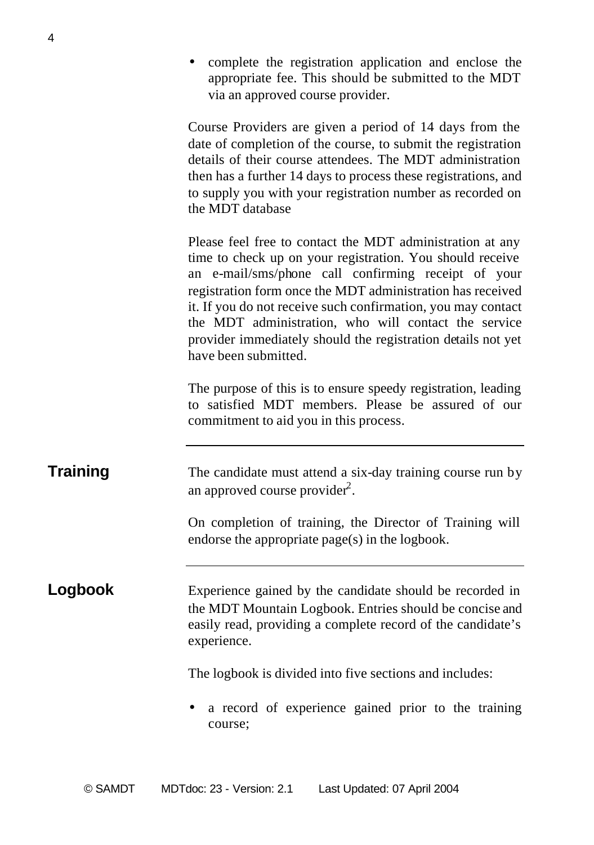• complete the registration application and enclose the appropriate fee. This should be submitted to the MDT via an approved course provider.

Course Providers are given a period of 14 days from the date of completion of the course, to submit the registration details of their course attendees. The MDT administration then has a further 14 days to process these registrations, and to supply you with your registration number as recorded on the MDT database

Please feel free to contact the MDT administration at any time to check up on your registration. You should receive an e-mail/sms/phone call confirming receipt of your registration form once the MDT administration has received it. If you do not receive such confirmation, you may contact the MDT administration, who will contact the service provider immediately should the registration details not yet have been submitted.

The purpose of this is to ensure speedy registration, leading to satisfied MDT members. Please be assured of our commitment to aid you in this process.

**Training** The candidate must attend a six-day training course run by an approved course provider $2$ .

> On completion of training, the Director of Training will endorse the appropriate page(s) in the logbook.

**Logbook** Experience gained by the candidate should be recorded in the MDT Mountain Logbook. Entries should be concise and easily read, providing a complete record of the candidate's experience.

The logbook is divided into five sections and includes:

• a record of experience gained prior to the training course;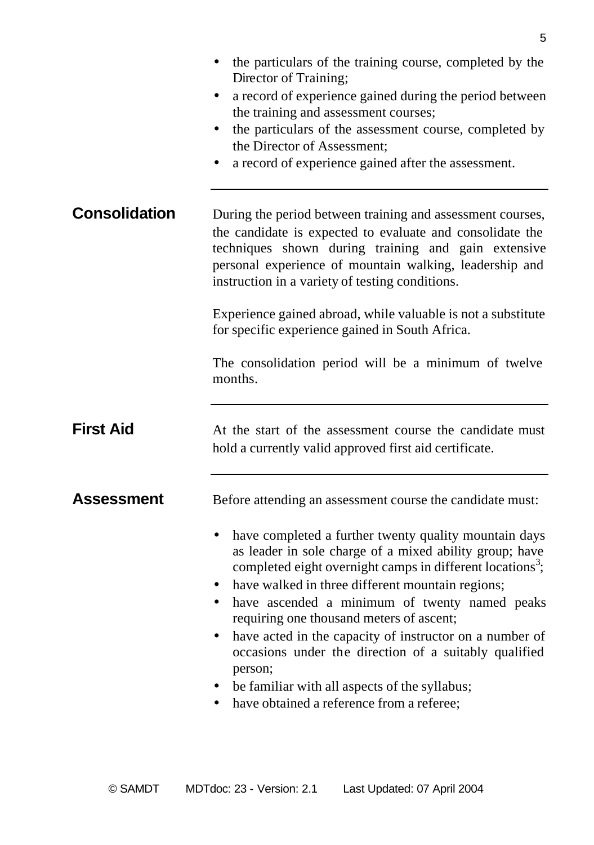|                      | the particulars of the training course, completed by the<br>Director of Training;<br>a record of experience gained during the period between<br>٠<br>the training and assessment courses;<br>the particulars of the assessment course, completed by<br>$\bullet$<br>the Director of Assessment;<br>a record of experience gained after the assessment.                                                                                                                                                                                                                                                                                            |
|----------------------|---------------------------------------------------------------------------------------------------------------------------------------------------------------------------------------------------------------------------------------------------------------------------------------------------------------------------------------------------------------------------------------------------------------------------------------------------------------------------------------------------------------------------------------------------------------------------------------------------------------------------------------------------|
| <b>Consolidation</b> | During the period between training and assessment courses,<br>the candidate is expected to evaluate and consolidate the<br>techniques shown during training and gain extensive<br>personal experience of mountain walking, leadership and<br>instruction in a variety of testing conditions.<br>Experience gained abroad, while valuable is not a substitute<br>for specific experience gained in South Africa.<br>The consolidation period will be a minimum of twelve<br>months.                                                                                                                                                                |
| <b>First Aid</b>     | At the start of the assessment course the candidate must<br>hold a currently valid approved first aid certificate.                                                                                                                                                                                                                                                                                                                                                                                                                                                                                                                                |
| Assessment           | Before attending an assessment course the candidate must:<br>have completed a further twenty quality mountain days<br>$\bullet$<br>as leader in sole charge of a mixed ability group; have<br>completed eight overnight camps in different locations <sup>3</sup> ;<br>have walked in three different mountain regions;<br>have ascended a minimum of twenty named peaks<br>requiring one thousand meters of ascent;<br>have acted in the capacity of instructor on a number of<br>occasions under the direction of a suitably qualified<br>person;<br>be familiar with all aspects of the syllabus;<br>have obtained a reference from a referee; |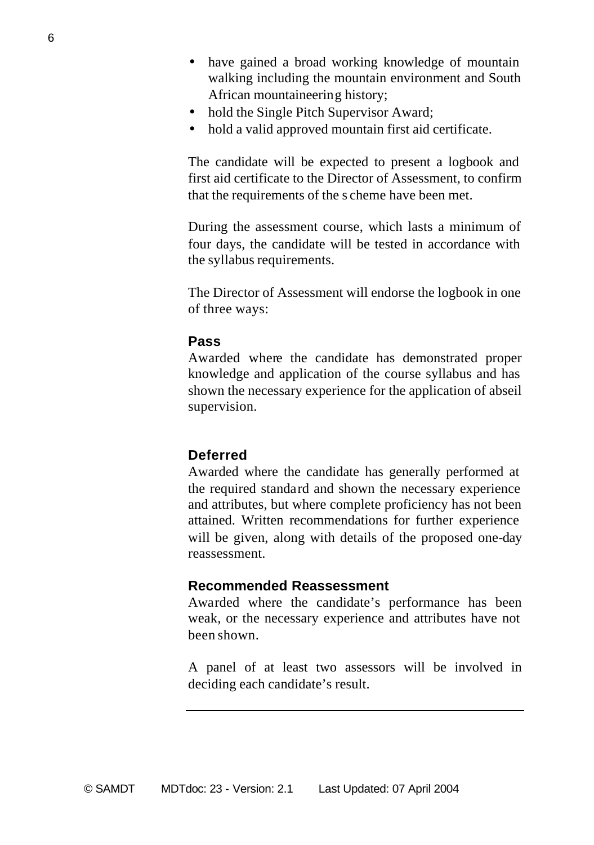- have gained a broad working knowledge of mountain walking including the mountain environment and South African mountaineering history;
- hold the Single Pitch Supervisor Award;
- hold a valid approved mountain first aid certificate.

The candidate will be expected to present a logbook and first aid certificate to the Director of Assessment, to confirm that the requirements of the s cheme have been met.

During the assessment course, which lasts a minimum of four days, the candidate will be tested in accordance with the syllabus requirements.

The Director of Assessment will endorse the logbook in one of three ways:

### **Pass**

Awarded where the candidate has demonstrated proper knowledge and application of the course syllabus and has shown the necessary experience for the application of abseil supervision.

### **Deferred**

Awarded where the candidate has generally performed at the required standard and shown the necessary experience and attributes, but where complete proficiency has not been attained. Written recommendations for further experience will be given, along with details of the proposed one-day reassessment.

### **Recommended Reassessment**

Awarded where the candidate's performance has been weak, or the necessary experience and attributes have not been shown.

A panel of at least two assessors will be involved in deciding each candidate's result.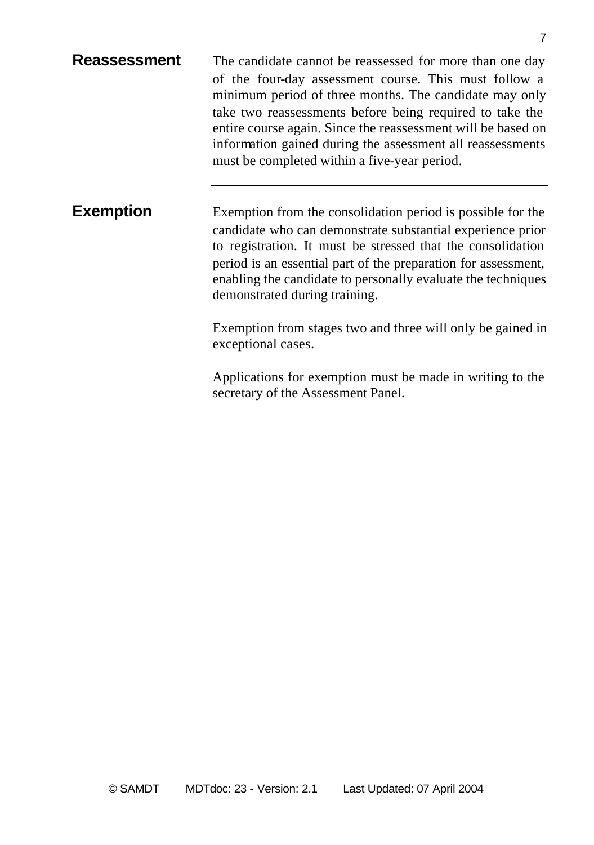| Reassessment | The candidate cannot be reassessed for more than one day                                                                   |
|--------------|----------------------------------------------------------------------------------------------------------------------------|
|              | of the four-day assessment course. This must follow a<br>minimum period of three months. The candidate may only            |
|              | take two reassessments before being required to take the                                                                   |
|              | entire course again. Since the reassessment will be based on<br>information gained during the assessment all reassessments |
|              | must be completed within a five-year period.                                                                               |
|              |                                                                                                                            |

**Exemption** Exemption from the consolidation period is possible for the candidate who can demonstrate substantial experience prior to registration. It must be stressed that the consolidation period is an essential part of the preparation for assessment, enabling the candidate to personally evaluate the techniques demonstrated during training.

> Exemption from stages two and three will only be gained in exceptional cases.

> Applications for exemption must be made in writing to the secretary of the Assessment Panel.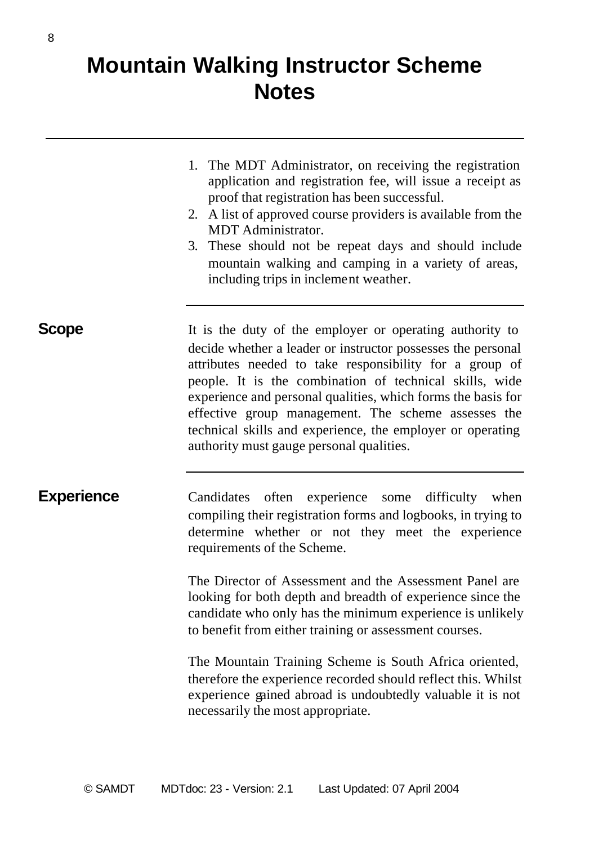## **Mountain Walking Instructor Scheme Notes**

- 1. The MDT Administrator, on receiving the registration application and registration fee, will issue a receipt as proof that registration has been successful.
- 2. A list of approved course providers is available from the MDT Administrator.
- 3. These should not be repeat days and should include mountain walking and camping in a variety of areas, including trips in inclement weather.

**Scope** It is the duty of the employer or operating authority to decide whether a leader or instructor possesses the personal attributes needed to take responsibility for a group of people. It is the combination of technical skills, wide experience and personal qualities, which forms the basis for effective group management. The scheme assesses the technical skills and experience, the employer or operating authority must gauge personal qualities.

**Experience** Candidates often experience some difficulty when compiling their registration forms and logbooks, in trying to determine whether or not they meet the experience requirements of the Scheme.

> The Director of Assessment and the Assessment Panel are looking for both depth and breadth of experience since the candidate who only has the minimum experience is unlikely to benefit from either training or assessment courses.

> The Mountain Training Scheme is South Africa oriented, therefore the experience recorded should reflect this. Whilst experience gained abroad is undoubtedly valuable it is not necessarily the most appropriate.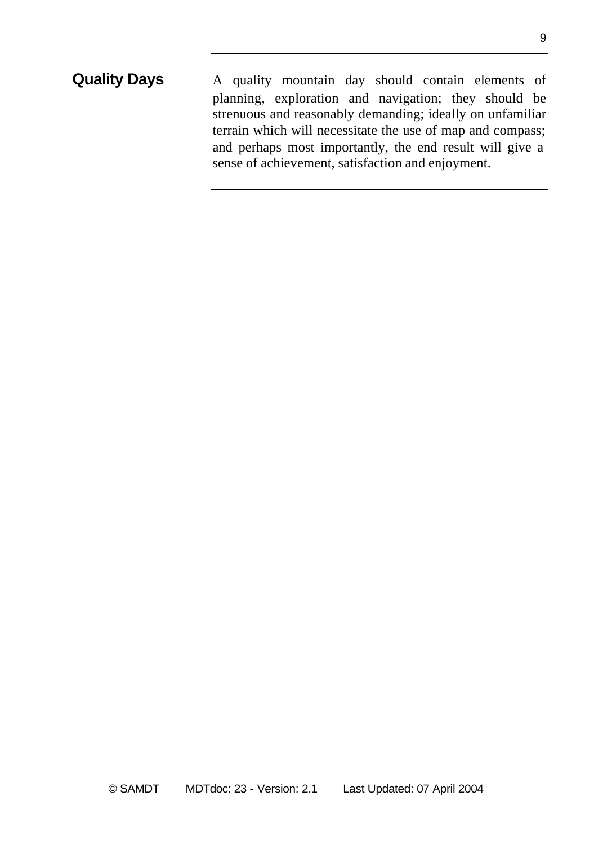### **Quality Days** A quality mountain day should contain elements of planning, exploration and navigation; they should be strenuous and reasonably demanding; ideally on unfamiliar terrain which will necessitate the use of map and compass; and perhaps most importantly, the end result will give a sense of achievement, satisfaction and enjoyment.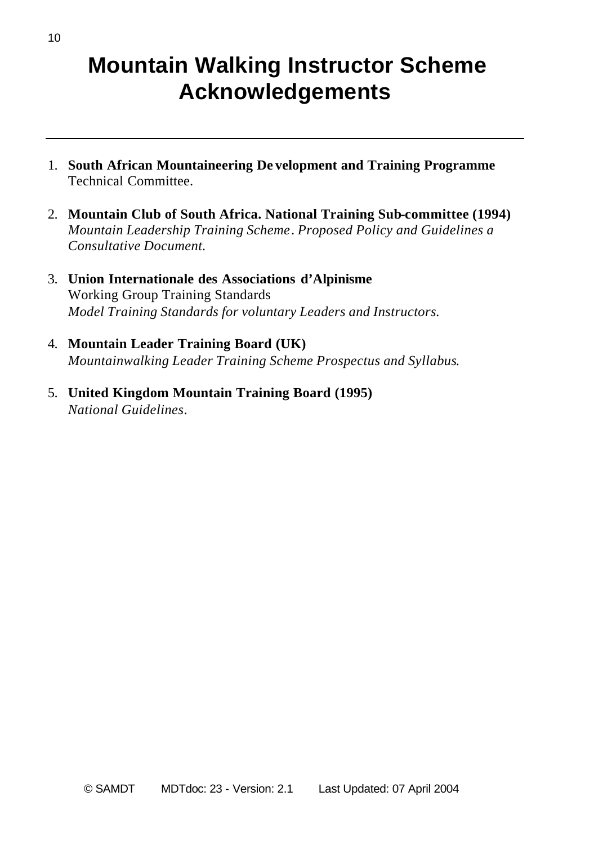## **Mountain Walking Instructor Scheme Acknowledgements**

- 1. **South African Mountaineering De velopment and Training Programme** Technical Committee.
- 2. **Mountain Club of South Africa. National Training Sub-committee (1994)** *Mountain Leadership Training Scheme*. *Proposed Policy and Guidelines a Consultative Document.*
- 3. **Union Internationale des Associations d'Alpinisme** Working Group Training Standards *Model Training Standards for voluntary Leaders and Instructors.*
- 4. **Mountain Leader Training Board (UK)** *Mountainwalking Leader Training Scheme Prospectus and Syllabus*.
- 5. **United Kingdom Mountain Training Board (1995)** *National Guidelines*.